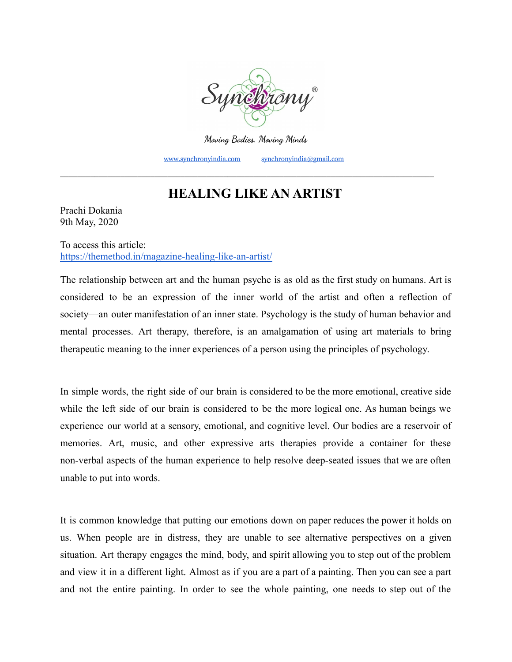

**Moving Bodies. Moving Minds**

[www.synchronyindia.com](http://www.synchronyindia.com) [synchronyindia@gmail.com](mailto:synchronyindia@gmail.com)

## **HEALING LIKE AN ARTIST**

\_\_\_\_\_\_\_\_\_\_\_\_\_\_\_\_\_\_\_\_\_\_\_\_\_\_\_\_\_\_\_\_\_\_\_\_\_\_\_\_\_\_\_\_\_\_\_\_\_\_\_\_\_\_\_\_\_\_\_\_\_\_\_\_\_\_\_\_\_\_\_\_\_\_\_\_\_\_\_\_\_\_\_\_\_\_\_

Prachi Dokania 9th May, 2020

To access this article: <https://themethod.in/magazine-healing-like-an-artist/>

The relationship between art and the human psyche is as old as the first study on humans. Art is considered to be an expression of the inner world of the artist and often a reflection of society—an outer manifestation of an inner state. Psychology is the study of human behavior and mental processes. Art therapy, therefore, is an amalgamation of using art materials to bring therapeutic meaning to the inner experiences of a person using the principles of psychology.

In simple words, the right side of our brain is considered to be the more emotional, creative side while the left side of our brain is considered to be the more logical one. As human beings we experience our world at a sensory, emotional, and cognitive level. Our bodies are a reservoir of memories. Art, music, and other expressive arts therapies provide a container for these non-verbal aspects of the human experience to help resolve deep-seated issues that we are often unable to put into words.

It is common knowledge that putting our emotions down on paper reduces the power it holds on us. When people are in distress, they are unable to see alternative perspectives on a given situation. Art therapy engages the mind, body, and spirit allowing you to step out of the problem and view it in a different light. Almost as if you are a part of a painting. Then you can see a part and not the entire painting. In order to see the whole painting, one needs to step out of the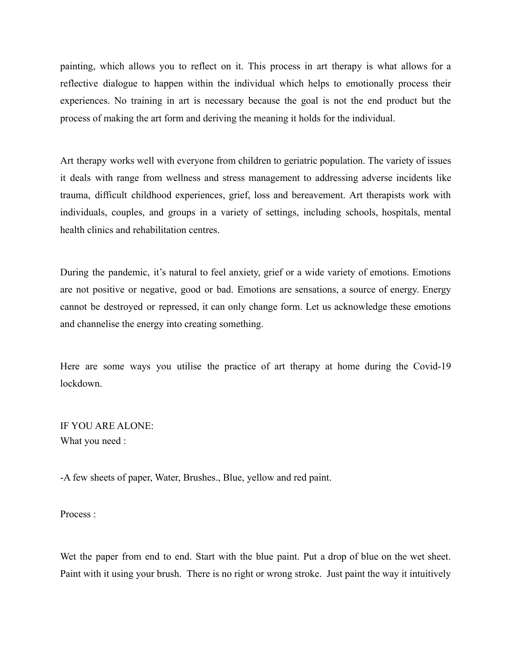painting, which allows you to reflect on it. This process in art therapy is what allows for a reflective dialogue to happen within the individual which helps to emotionally process their experiences. No training in art is necessary because the goal is not the end product but the process of making the art form and deriving the meaning it holds for the individual.

Art therapy works well with everyone from children to geriatric population. The variety of issues it deals with range from wellness and stress management to addressing adverse incidents like trauma, difficult childhood experiences, grief, loss and bereavement. Art therapists work with individuals, couples, and groups in a variety of settings, including schools, hospitals, mental health clinics and rehabilitation centres.

During the pandemic, it's natural to feel anxiety, grief or a wide variety of emotions. Emotions are not positive or negative, good or bad. Emotions are sensations, a source of energy. Energy cannot be destroyed or repressed, it can only change form. Let us acknowledge these emotions and channelise the energy into creating something.

Here are some ways you utilise the practice of art therapy at home during the Covid-19 lockdown.

IF YOU ARE ALONE: What you need :

-A few sheets of paper, Water, Brushes., Blue, yellow and red paint.

Process :

Wet the paper from end to end. Start with the blue paint. Put a drop of blue on the wet sheet. Paint with it using your brush. There is no right or wrong stroke. Just paint the way it intuitively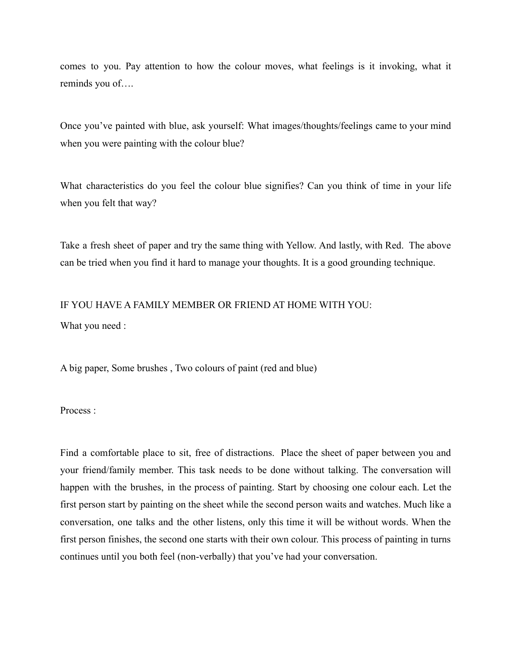comes to you. Pay attention to how the colour moves, what feelings is it invoking, what it reminds you of….

Once you've painted with blue, ask yourself: What images/thoughts/feelings came to your mind when you were painting with the colour blue?

What characteristics do you feel the colour blue signifies? Can you think of time in your life when you felt that way?

Take a fresh sheet of paper and try the same thing with Yellow. And lastly, with Red. The above can be tried when you find it hard to manage your thoughts. It is a good grounding technique.

## IF YOU HAVE A FAMILY MEMBER OR FRIEND AT HOME WITH YOU: What you need :

A big paper, Some brushes , Two colours of paint (red and blue)

Process :

Find a comfortable place to sit, free of distractions. Place the sheet of paper between you and your friend/family member. This task needs to be done without talking. The conversation will happen with the brushes, in the process of painting. Start by choosing one colour each. Let the first person start by painting on the sheet while the second person waits and watches. Much like a conversation, one talks and the other listens, only this time it will be without words. When the first person finishes, the second one starts with their own colour. This process of painting in turns continues until you both feel (non-verbally) that you've had your conversation.